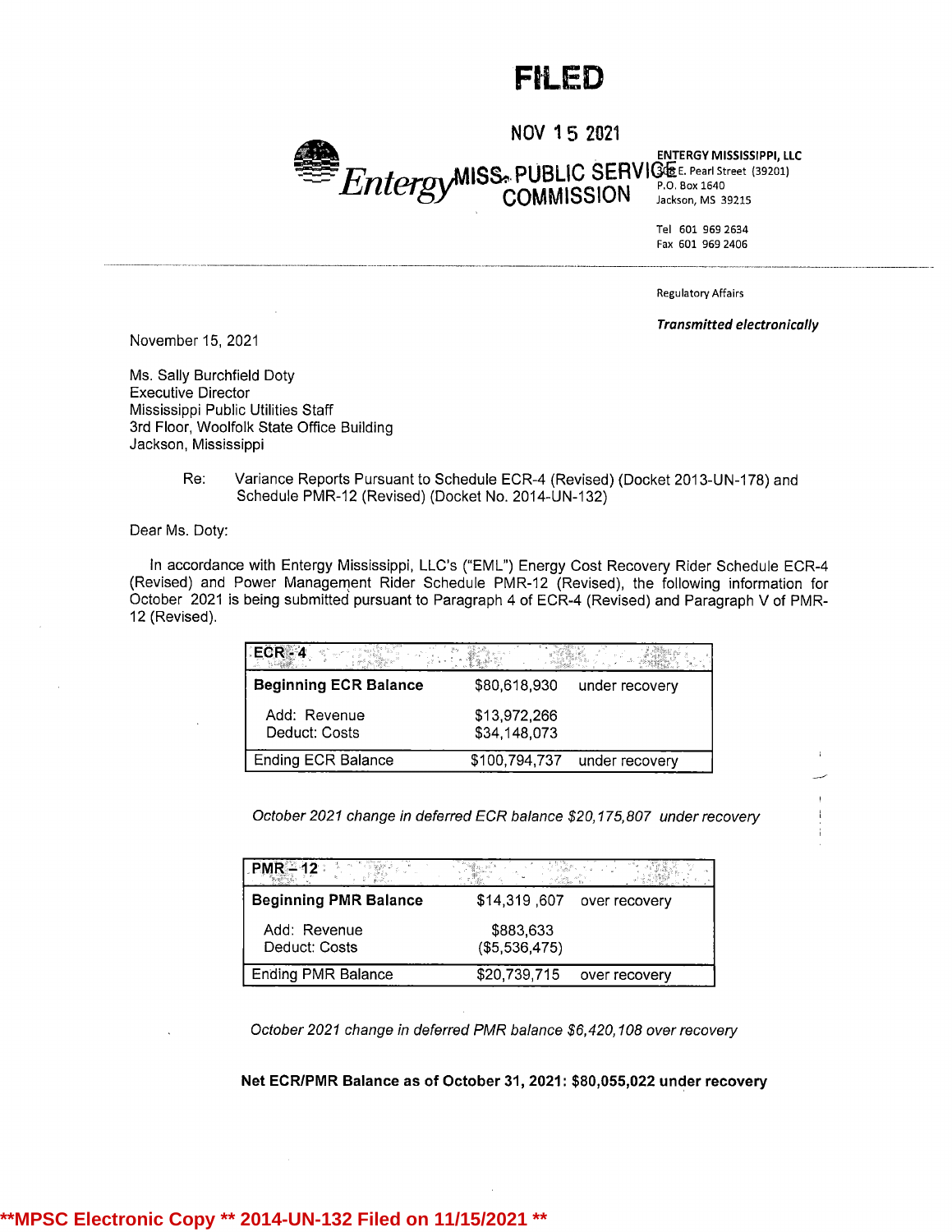## FIL ED

NOV <sup>1</sup> 5 2021

Entergy MISS. PUBLIC SERVICE E. Pearl Street (39201) ENTERGY MISSISSIPPI, LLC

Tel 601 969 2634 Fax 601 969 2406

Regulatory Affairs

Transmitted electronically

November15, 2021

Ms. Sally Burchfield Doty Executive Director Mississippi Public Utilities Staff 3rd Floor, Woolfolk State Office Building Jackson, Mississippi

> Re: Variance Reports Pursuant to Schedule ECR-4 (Revised) (Docket 2013-UN-178) and Schedule PMR-12 (Revised)(Docket No. 2014-UN-132)

Dear Ms. Doty:

In accordance with Entergy Mississippi, LLC's ("EML") Energy Cost Recovery Rider Schedule ECR-4 (Revised) and Power Management Rider Schedule PMR-12 (Revised), the following information for October 2021 is being submitted pursuant to Paragraph 4 of ECR-4 (Revised) and Paragraph V of PMR-<sup>12</sup> (Revised).

| I FCR - 4                     |                              |                |
|-------------------------------|------------------------------|----------------|
| <b>Beginning ECR Balance</b>  | \$80,618,930                 | under recovery |
| Add: Revenue<br>Deduct: Costs | \$13,972,266<br>\$34,148,073 |                |
| <b>Ending ECR Balance</b>     | \$100,794,737                | under recovery |

October 2021 change in deferred ECR balance \$20,175,807 under recovery

| $PMR = 12$                    |                            |               |
|-------------------------------|----------------------------|---------------|
| <b>Beginning PMR Balance</b>  | \$14,319,607               | over recovery |
| Add: Revenue<br>Deduct: Costs | \$883,633<br>(\$5,536,475) |               |
| <b>Ending PMR Balance</b>     | \$20,739,715               | over recovery |

October 2021 change in deferred PMR balance \$6,420,108 over recovery

Net ECR/PMR Balance as of October 31, 2021: \$80,055,022 under recovery